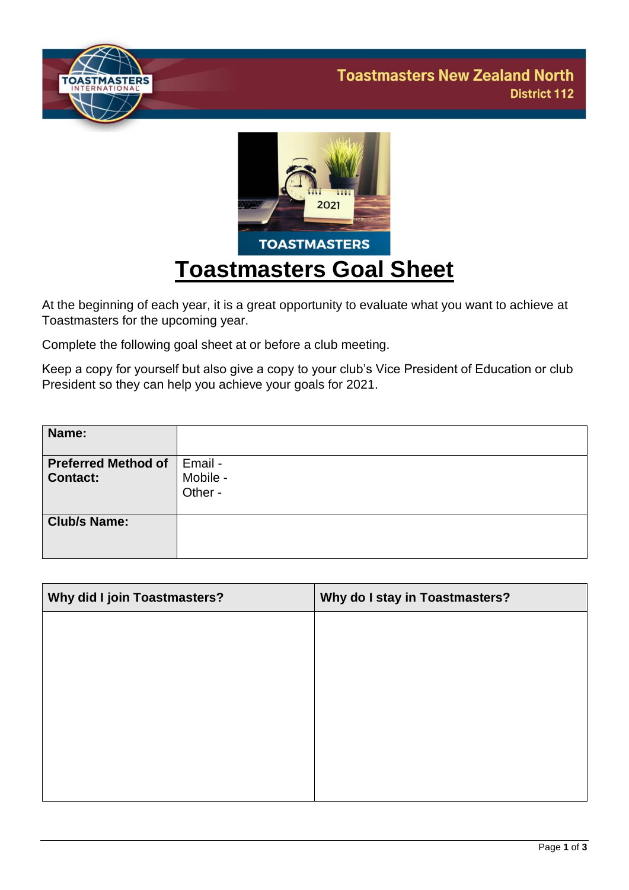



At the beginning of each year, it is a great opportunity to evaluate what you want to achieve at Toastmasters for the upcoming year.

Complete the following goal sheet at or before a club meeting.

Keep a copy for yourself but also give a copy to your club's Vice President of Education or club President so they can help you achieve your goals for 2021.

| Name:                                         |                                |
|-----------------------------------------------|--------------------------------|
| <b>Preferred Method of</b><br><b>Contact:</b> | Email -<br>Mobile -<br>Other - |
| <b>Club/s Name:</b>                           |                                |

| Why did I join Toastmasters? | Why do I stay in Toastmasters? |
|------------------------------|--------------------------------|
|                              |                                |
|                              |                                |
|                              |                                |
|                              |                                |
|                              |                                |
|                              |                                |
|                              |                                |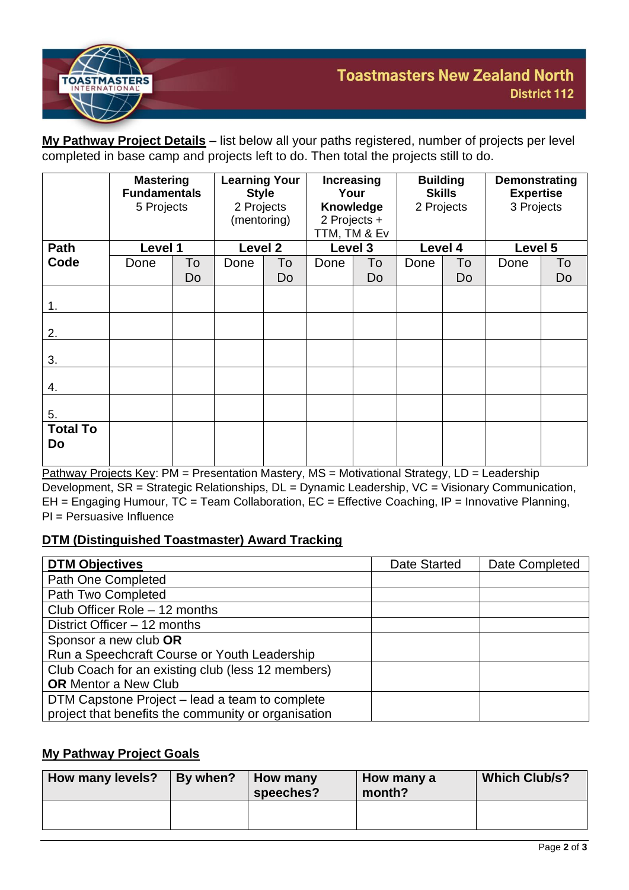

**My Pathway Project Details** – list below all your paths registered, number of projects per level completed in base camp and projects left to do. Then total the projects still to do.

|                       | <b>Mastering</b><br><b>Fundamentals</b><br>5 Projects |          | <b>Learning Your</b><br><b>Style</b><br>2 Projects<br>(mentoring) |          | <b>Increasing</b><br>Your<br><b>Knowledge</b><br>2 Projects +<br>TTM, TM & Ev |          | <b>Building</b><br><b>Skills</b><br>2 Projects |          | Demonstrating<br><b>Expertise</b><br>3 Projects |          |
|-----------------------|-------------------------------------------------------|----------|-------------------------------------------------------------------|----------|-------------------------------------------------------------------------------|----------|------------------------------------------------|----------|-------------------------------------------------|----------|
| Path                  | Level 1                                               |          | Level 2                                                           |          | Level 3                                                                       |          | Level 4                                        |          | Level 5                                         |          |
| Code                  | Done                                                  | To<br>Do | Done                                                              | To<br>Do | Done                                                                          | To<br>Do | Done                                           | To<br>Do | Done                                            | To<br>Do |
| 1.                    |                                                       |          |                                                                   |          |                                                                               |          |                                                |          |                                                 |          |
| 2.                    |                                                       |          |                                                                   |          |                                                                               |          |                                                |          |                                                 |          |
| 3.                    |                                                       |          |                                                                   |          |                                                                               |          |                                                |          |                                                 |          |
| 4.                    |                                                       |          |                                                                   |          |                                                                               |          |                                                |          |                                                 |          |
| 5.                    |                                                       |          |                                                                   |          |                                                                               |          |                                                |          |                                                 |          |
| <b>Total To</b><br>Do |                                                       |          |                                                                   |          |                                                                               |          |                                                |          |                                                 |          |

Pathway Projects Key: PM = Presentation Mastery, MS = Motivational Strategy, LD = Leadership Development, SR = Strategic Relationships, DL = Dynamic Leadership, VC = Visionary Communication, EH = Engaging Humour, TC = Team Collaboration, EC = Effective Coaching, IP = Innovative Planning, PI = Persuasive Influence

# **DTM (Distinguished Toastmaster) Award Tracking**

| <b>DTM Objectives</b>                               | Date Started | Date Completed |
|-----------------------------------------------------|--------------|----------------|
| Path One Completed                                  |              |                |
| Path Two Completed                                  |              |                |
| Club Officer Role - 12 months                       |              |                |
| District Officer – 12 months                        |              |                |
| Sponsor a new club OR                               |              |                |
| Run a Speechcraft Course or Youth Leadership        |              |                |
| Club Coach for an existing club (less 12 members)   |              |                |
| <b>OR</b> Mentor a New Club                         |              |                |
| DTM Capstone Project – lead a team to complete      |              |                |
| project that benefits the community or organisation |              |                |

## **My Pathway Project Goals**

| <b>How many levels?</b> | By when? | How many<br>speeches? | How many a<br>month? | <b>Which Club/s?</b> |
|-------------------------|----------|-----------------------|----------------------|----------------------|
|                         |          |                       |                      |                      |